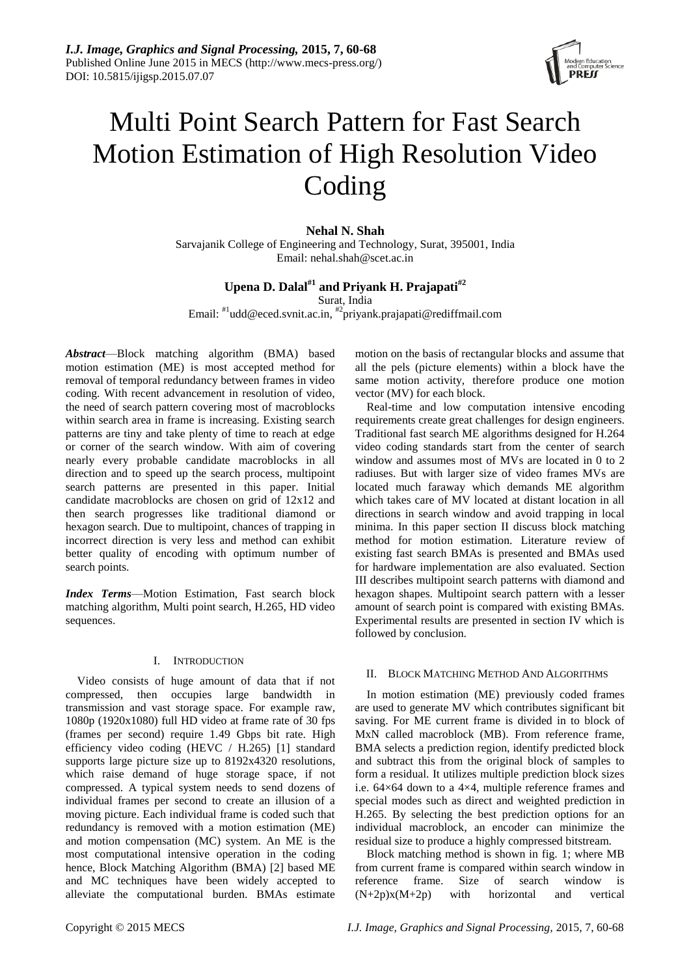

# Multi Point Search Pattern for Fast Search Motion Estimation of High Resolution Video Coding

**Nehal N. Shah**

Sarvajanik College of Engineering and Technology, Surat, 395001, India Email: nehal.shah@scet.ac.in

# **Upena D. Dalal#1 and Priyank H. Prajapati#2**

Surat, India

Email: <sup>#1</sup>udd@eced.svnit.ac.in, <sup>#2</sup>priyank.prajapati@rediffmail.com

*Abstract*—Block matching algorithm (BMA) based motion estimation (ME) is most accepted method for removal of temporal redundancy between frames in video coding. With recent advancement in resolution of video, the need of search pattern covering most of macroblocks within search area in frame is increasing. Existing search patterns are tiny and take plenty of time to reach at edge or corner of the search window. With aim of covering nearly every probable candidate macroblocks in all direction and to speed up the search process, multipoint search patterns are presented in this paper. Initial candidate macroblocks are chosen on grid of 12x12 and then search progresses like traditional diamond or hexagon search. Due to multipoint, chances of trapping in incorrect direction is very less and method can exhibit better quality of encoding with optimum number of search points.

*Index Terms*—Motion Estimation, Fast search block matching algorithm, Multi point search, H.265, HD video sequences.

### I. INTRODUCTION

Video consists of huge amount of data that if not compressed, then occupies large bandwidth in transmission and vast storage space. For example raw, 1080p (1920x1080) full HD video at frame rate of 30 fps (frames per second) require 1.49 Gbps bit rate. High efficiency video coding (HEVC / H.265) [1] standard supports large picture size up to 8192x4320 resolutions, which raise demand of huge storage space, if not compressed. A typical system needs to send dozens of individual frames per second to create an illusion of a moving picture. Each individual frame is coded such that redundancy is removed with a motion estimation (ME) and motion compensation (MC) system. An ME is the most computational intensive operation in the coding hence, Block Matching Algorithm (BMA) [2] based ME and MC techniques have been widely accepted to alleviate the computational burden. BMAs estimate

motion on the basis of rectangular blocks and assume that all the pels (picture elements) within a block have the same motion activity, therefore produce one motion vector (MV) for each block.

Real-time and low computation intensive encoding requirements create great challenges for design engineers. Traditional fast search ME algorithms designed for H.264 video coding standards start from the center of search window and assumes most of MVs are located in 0 to 2 radiuses. But with larger size of video frames MVs are located much faraway which demands ME algorithm which takes care of MV located at distant location in all directions in search window and avoid trapping in local minima. In this paper section II discuss block matching method for motion estimation. Literature review of existing fast search BMAs is presented and BMAs used for hardware implementation are also evaluated. Section III describes multipoint search patterns with diamond and hexagon shapes. Multipoint search pattern with a lesser amount of search point is compared with existing BMAs. Experimental results are presented in section IV which is followed by conclusion.

# II. BLOCK MATCHING METHOD AND ALGORITHMS

In motion estimation (ME) previously coded frames are used to generate MV which contributes significant bit saving. For ME current frame is divided in to block of MxN called macroblock (MB). From reference frame, BMA selects a prediction region, identify predicted block and subtract this from the original block of samples to form a residual. It utilizes multiple prediction block sizes i.e. 64×64 down to a 4×4, multiple reference frames and special modes such as direct and weighted prediction in H.265. By selecting the best prediction options for an individual macroblock, an encoder can minimize the residual size to produce a highly compressed bitstream.

Block matching method is shown in fig. 1; where MB from current frame is compared within search window in reference frame. Size of search window is  $(N+2p)x(M+2p)$  with horizontal and vertical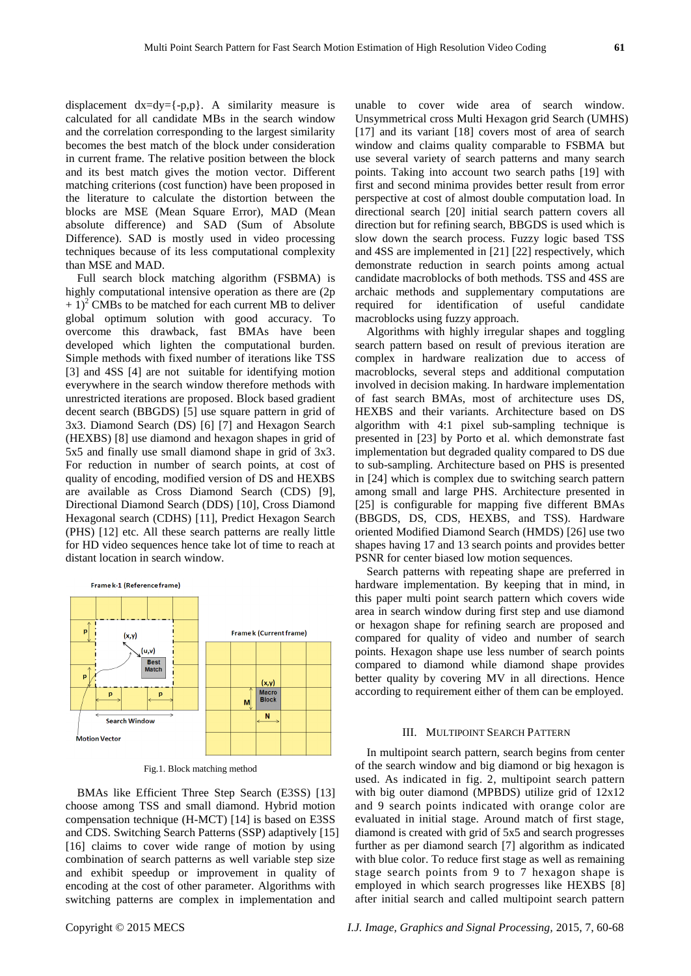displacement  $dx=dy=\{-p,p\}$ . A similarity measure is calculated for all candidate MBs in the search window and the correlation corresponding to the largest similarity becomes the best match of the block under consideration in current frame. The relative position between the block and its best match gives the motion vector. Different matching criterions (cost function) have been proposed in the literature to calculate the distortion between the blocks are MSE (Mean Square Error), MAD (Mean absolute difference) and SAD (Sum of Absolute Difference). SAD is mostly used in video processing techniques because of its less computational complexity than MSE and MAD.

Full search block matching algorithm (FSBMA) is highly computational intensive operation as there are  $(2p)$  $+ 1$ <sup>2</sup> CMBs to be matched for each current MB to deliver global optimum solution with good accuracy. To overcome this drawback, fast BMAs have been developed which lighten the computational burden. Simple methods with fixed number of iterations like TSS [3] and 4SS [4] are not suitable for identifying motion everywhere in the search window therefore methods with unrestricted iterations are proposed. Block based gradient decent search (BBGDS) [5] use square pattern in grid of 3x3. Diamond Search (DS) [6] [7] and Hexagon Search (HEXBS) [8] use diamond and hexagon shapes in grid of 5x5 and finally use small diamond shape in grid of 3x3. For reduction in number of search points, at cost of quality of encoding, modified version of DS and HEXBS are available as Cross Diamond Search (CDS) [9], Directional Diamond Search (DDS) [10], Cross Diamond Hexagonal search (CDHS) [11], Predict Hexagon Search (PHS) [12] etc. All these search patterns are really little for HD video sequences hence take lot of time to reach at distant location in search window.



Fig.1. Block matching method

BMAs like Efficient Three Step Search (E3SS) [13] choose among TSS and small diamond. Hybrid motion compensation technique (H-MCT) [14] is based on E3SS and CDS. Switching Search Patterns (SSP) adaptively [15] [16] claims to cover wide range of motion by using combination of search patterns as well variable step size and exhibit speedup or improvement in quality of encoding at the cost of other parameter. Algorithms with switching patterns are complex in implementation and

unable to cover wide area of search window. Unsymmetrical cross Multi Hexagon grid Search (UMHS) [17] and its variant [18] covers most of area of search window and claims quality comparable to FSBMA but use several variety of search patterns and many search points. Taking into account two search paths [19] with first and second minima provides better result from error perspective at cost of almost double computation load. In directional search [20] initial search pattern covers all direction but for refining search, BBGDS is used which is slow down the search process. Fuzzy logic based TSS and 4SS are implemented in [21] [22] respectively, which demonstrate reduction in search points among actual candidate macroblocks of both methods. TSS and 4SS are archaic methods and supplementary computations are required for identification of useful candidate macroblocks using fuzzy approach.

Algorithms with highly irregular shapes and toggling search pattern based on result of previous iteration are complex in hardware realization due to access of macroblocks, several steps and additional computation involved in decision making. In hardware implementation of fast search BMAs, most of architecture uses DS, HEXBS and their variants. Architecture based on DS algorithm with 4:1 pixel sub-sampling technique is presented in [23] by Porto et al. which demonstrate fast implementation but degraded quality compared to DS due to sub-sampling. Architecture based on PHS is presented in [24] which is complex due to switching search pattern among small and large PHS. Architecture presented in [25] is configurable for mapping five different BMAs (BBGDS, DS, CDS, HEXBS, and TSS). Hardware oriented Modified Diamond Search (HMDS) [26] use two shapes having 17 and 13 search points and provides better PSNR for center biased low motion sequences.

Search patterns with repeating shape are preferred in hardware implementation. By keeping that in mind, in this paper multi point search pattern which covers wide area in search window during first step and use diamond or hexagon shape for refining search are proposed and compared for quality of video and number of search points. Hexagon shape use less number of search points compared to diamond while diamond shape provides better quality by covering MV in all directions. Hence according to requirement either of them can be employed.

#### III. MULTIPOINT SEARCH PATTERN

In multipoint search pattern, search begins from center of the search window and big diamond or big hexagon is used. As indicated in fig. 2, multipoint search pattern with big outer diamond (MPBDS) utilize grid of 12x12 and 9 search points indicated with orange color are evaluated in initial stage. Around match of first stage, diamond is created with grid of 5x5 and search progresses further as per diamond search [7] algorithm as indicated with blue color. To reduce first stage as well as remaining stage search points from 9 to 7 hexagon shape is employed in which search progresses like HEXBS [8] after initial search and called multipoint search pattern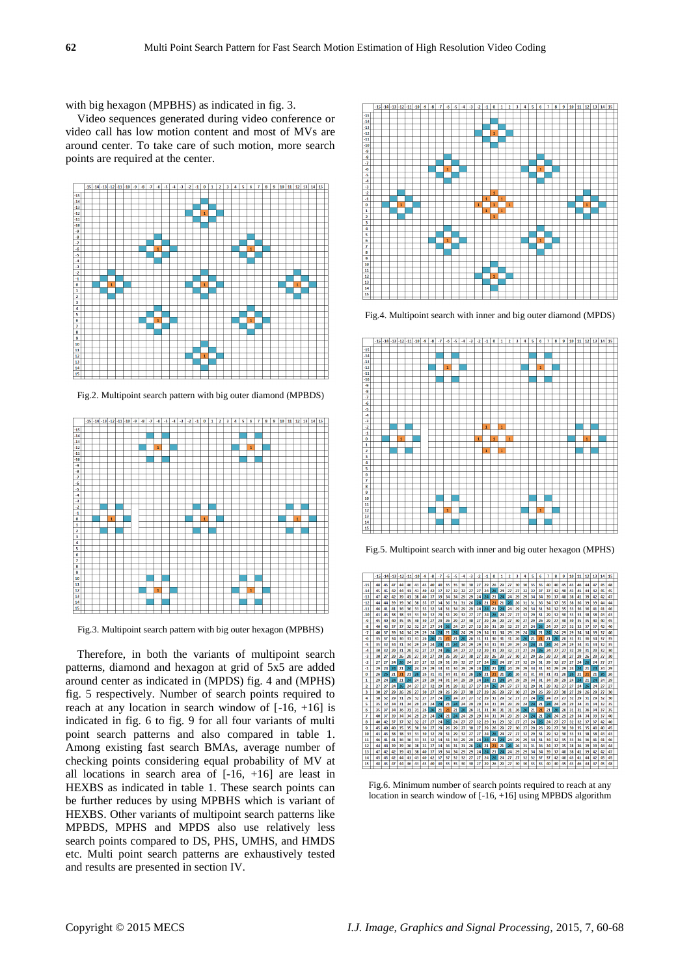with big hexagon (MPBHS) as indicated in fig. 3.

Video sequences generated during video conference or video call has low motion content and most of MVs are around center. To take care of such motion, more search points are required at the center.



Fig.2. Multipoint search pattern with big outer diamond (MPBDS)



Fig.3. Multipoint search pattern with big outer hexagon (MPBHS)

Therefore, in both the variants of multipoint search patterns, diamond and hexagon at grid of 5x5 are added around center as indicated in (MPDS) fig. 4 and (MPHS) fig. 5 respectively. Number of search points required to reach at any location in search window of  $[-16, +16]$  is indicated in fig. 6 to fig. 9 for all four variants of multi point search patterns and also compared in table 1. Among existing fast search BMAs, average number of checking points considering equal probability of MV at all locations in search area of  $[-16, +16]$  are least in HEXBS as indicated in table 1. These search points can be further reduces by using MPBHS which is variant of HEXBS. Other variants of multipoint search patterns like MPBDS, MPHS and MPDS also use relatively less search points compared to DS, PHS, UMHS, and HMDS etc. Multi point search patterns are exhaustively tested and results are presented in section IV.



Fig.4. Multipoint search with inner and big outer diamond (MPDS)



Fig.5. Multipoint search with inner and big outer hexagon (MPHS)



Fig.6. Minimum number of search points required to reach at any location in search window of [-16, +16] using MPBDS algorithm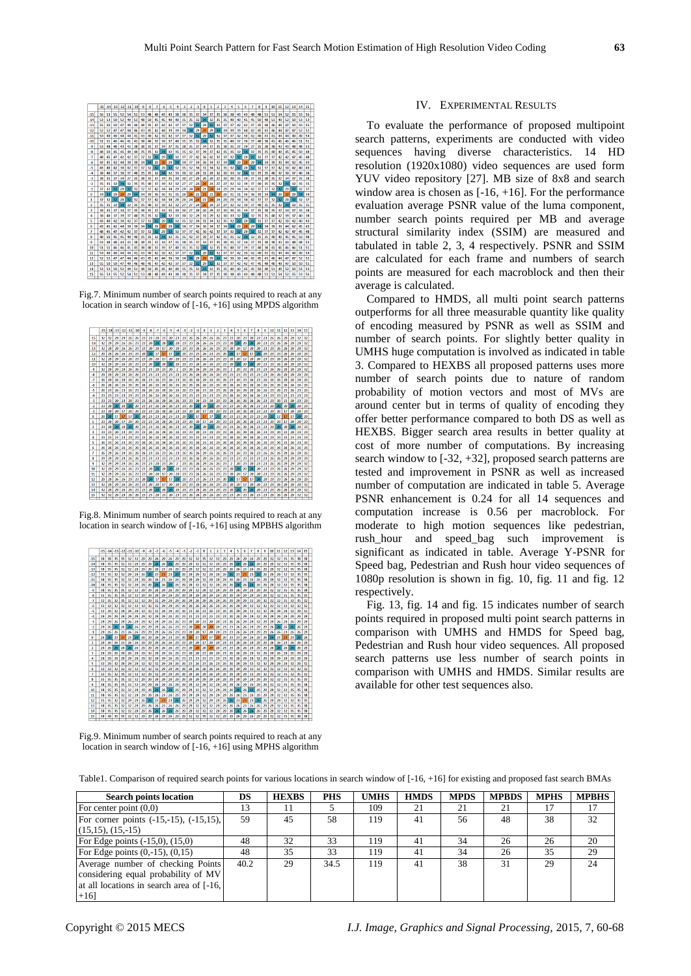

Fig.7. Minimum number of search points required to reach at any location in search window of [-16, +16] using MPDS algorithm



Fig.8. Minimum number of search points required to reach at any location in search window of [-16, +16] using MPBHS algorithm



Fig.9. Minimum number of search points required to reach at any location in search window of [-16, +16] using MPHS algorithm

#### IV. EXPERIMENTAL RESULTS

To evaluate the performance of proposed multipoint search patterns, experiments are conducted with video sequences having diverse characteristics. 14 HD resolution (1920x1080) video sequences are used form YUV video repository [27]. MB size of 8x8 and search window area is chosen as  $[-16, +16]$ . For the performance evaluation average PSNR value of the luma component, number search points required per MB and average structural similarity index (SSIM) are measured and tabulated in table 2, 3, 4 respectively. PSNR and SSIM are calculated for each frame and numbers of search points are measured for each macroblock and then their average is calculated.

Compared to HMDS, all multi point search patterns outperforms for all three measurable quantity like quality of encoding measured by PSNR as well as SSIM and number of search points. For slightly better quality in UMHS huge computation is involved as indicated in table 3. Compared to HEXBS all proposed patterns uses more number of search points due to nature of random probability of motion vectors and most of MVs are around center but in terms of quality of encoding they offer better performance compared to both DS as well as HEXBS. Bigger search area results in better quality at cost of more number of computations. By increasing search window to [-32, +32], proposed search patterns are tested and improvement in PSNR as well as increased number of computation are indicated in table 5. Average PSNR enhancement is 0.24 for all 14 sequences and computation increase is 0.56 per macroblock. For moderate to high motion sequences like pedestrian, rush\_hour and speed\_bag such improvement is significant as indicated in table. Average Y-PSNR for Speed bag, Pedestrian and Rush hour video sequences of 1080p resolution is shown in fig. 10, fig. 11 and fig. 12 respectively.

Fig. 13, fig. 14 and fig. 15 indicates number of search points required in proposed multi point search patterns in comparison with UMHS and HMDS for Speed bag, Pedestrian and Rush hour video sequences. All proposed search patterns use less number of search points in comparison with UMHS and HMDS. Similar results are available for other test sequences also.

|  |  | Table1. Comparison of required search points for various locations in search window of [-16, +16] for existing and proposed fast search BMAs |
|--|--|----------------------------------------------------------------------------------------------------------------------------------------------|
|--|--|----------------------------------------------------------------------------------------------------------------------------------------------|

| <b>Search points location</b>                                                                                                    | DS   | <b>HEXBS</b> | <b>PHS</b> | <b>UMHS</b> | <b>HMDS</b> | <b>MPDS</b> | <b>MPBDS</b> | <b>MPHS</b> | <b>MPBHS</b> |
|----------------------------------------------------------------------------------------------------------------------------------|------|--------------|------------|-------------|-------------|-------------|--------------|-------------|--------------|
| For center point $(0,0)$                                                                                                         | 13   |              |            | 109         | 21          | 21          | 21           |             | 17           |
| For corner points $(-15,-15)$ , $(-15,15)$ ,                                                                                     | 59   | 45           | 58         | 119         | 41          | 56          | 48           | 38          | 32           |
| $(15,15)$ , $(15,-15)$                                                                                                           |      |              |            |             |             |             |              |             |              |
| For Edge points $(-15,0)$ , $(15,0)$                                                                                             | 48   | 32           | 33         | 119         | 41          | 34          | 26           | 26          | 20           |
| For Edge points $(0, -15)$ , $(0, 15)$                                                                                           | 48   | 35           | 33         | 119         | 41          | 34          | 26           | 35          | 29           |
| Average number of checking Points<br>considering equal probability of MV<br>at all locations in search area of [-16,]<br>$+16$ ] | 40.2 | 29           | 34.5       | 119         | 41          | 38          | 31           | 29          | 24           |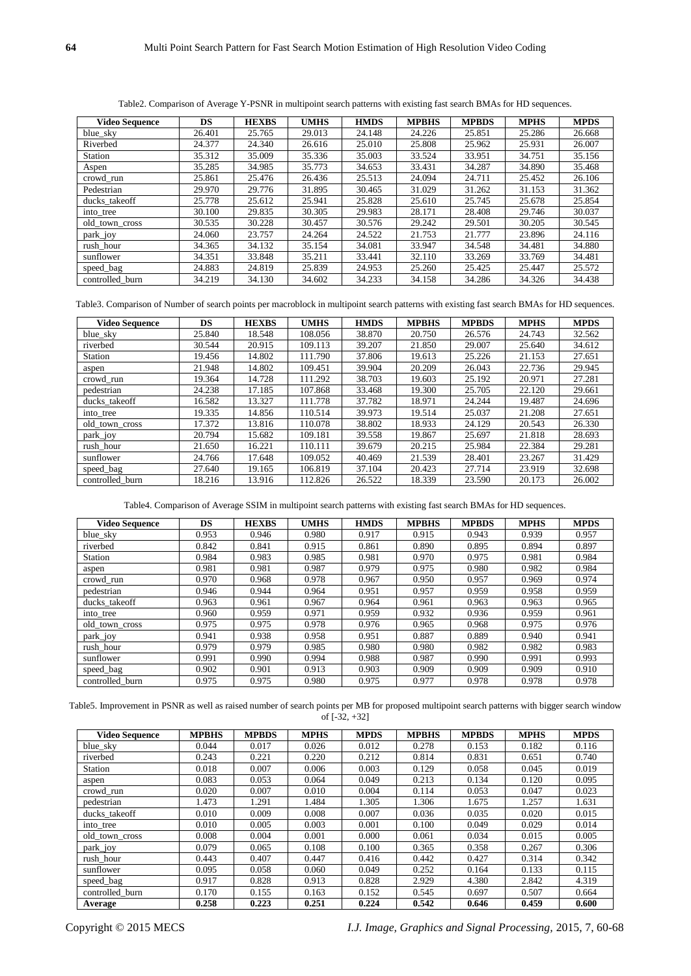|  |  |  | Table 2. Comparison of Average Y-PSNR in multipoint search patterns with existing fast search BMAs for HD sequences. |  |
|--|--|--|----------------------------------------------------------------------------------------------------------------------|--|
|  |  |  |                                                                                                                      |  |

| <b>Video Sequence</b> | DS     | <b>HEXBS</b> | <b>UMHS</b> | <b>HMDS</b> | <b>MPBHS</b> | <b>MPBDS</b> | <b>MPHS</b> | <b>MPDS</b> |
|-----------------------|--------|--------------|-------------|-------------|--------------|--------------|-------------|-------------|
| blue_sky              | 26.401 | 25.765       | 29.013      | 24.148      | 24.226       | 25.851       | 25.286      | 26.668      |
| Riverbed              | 24.377 | 24.340       | 26.616      | 25.010      | 25.808       | 25.962       | 25.931      | 26.007      |
| Station               | 35.312 | 35.009       | 35.336      | 35.003      | 33.524       | 33.951       | 34.751      | 35.156      |
| Aspen                 | 35.285 | 34.985       | 35.773      | 34.653      | 33.431       | 34.287       | 34.890      | 35.468      |
| crowd_run             | 25.861 | 25.476       | 26.436      | 25.513      | 24.094       | 24.711       | 25.452      | 26.106      |
| Pedestrian            | 29.970 | 29.776       | 31.895      | 30.465      | 31.029       | 31.262       | 31.153      | 31.362      |
| ducks_takeoff         | 25.778 | 25.612       | 25.941      | 25.828      | 25.610       | 25.745       | 25.678      | 25.854      |
| into tree             | 30.100 | 29.835       | 30.305      | 29.983      | 28.171       | 28.408       | 29.746      | 30.037      |
| old_town_cross        | 30.535 | 30.228       | 30.457      | 30.576      | 29.242       | 29.501       | 30.205      | 30.545      |
| park_joy              | 24.060 | 23.757       | 24.264      | 24.522      | 21.753       | 21.777       | 23.896      | 24.116      |
| rush hour             | 34.365 | 34.132       | 35.154      | 34.081      | 33.947       | 34.548       | 34.481      | 34.880      |
| sunflower             | 34.351 | 33.848       | 35.211      | 33.441      | 32.110       | 33.269       | 33.769      | 34.481      |
| speed_bag             | 24.883 | 24.819       | 25.839      | 24.953      | 25.260       | 25.425       | 25.447      | 25.572      |
| controlled burn       | 34.219 | 34.130       | 34.602      | 34.233      | 34.158       | 34.286       | 34.326      | 34.438      |

Table3. Comparison of Number of search points per macroblock in multipoint search patterns with existing fast search BMAs for HD sequences.

| <b>Video Sequence</b> | DS     | <b>HEXBS</b> | <b>UMHS</b> | <b>HMDS</b> | <b>MPBHS</b> | <b>MPBDS</b> | <b>MPHS</b> | <b>MPDS</b> |
|-----------------------|--------|--------------|-------------|-------------|--------------|--------------|-------------|-------------|
| blue_sky              | 25.840 | 18.548       | 108.056     | 38.870      | 20.750       | 26.576       | 24.743      | 32.562      |
| riverbed              | 30.544 | 20.915       | 109.113     | 39.207      | 21.850       | 29.007       | 25.640      | 34.612      |
| <b>Station</b>        | 19.456 | 14.802       | 111.790     | 37.806      | 19.613       | 25.226       | 21.153      | 27.651      |
| aspen                 | 21.948 | 14.802       | 109.451     | 39.904      | 20.209       | 26.043       | 22.736      | 29.945      |
| crowd run             | 19.364 | 14.728       | 111.292     | 38.703      | 19.603       | 25.192       | 20.971      | 27.281      |
| pedestrian            | 24.238 | 17.185       | 107.868     | 33.468      | 19.300       | 25.705       | 22.120      | 29.661      |
| ducks takeoff         | 16.582 | 13.327       | 111.778     | 37.782      | 18.971       | 24.244       | 19.487      | 24.696      |
| into tree             | 19.335 | 14.856       | 110.514     | 39.973      | 19.514       | 25.037       | 21.208      | 27.651      |
| old_town_cross        | 17.372 | 13.816       | 110.078     | 38.802      | 18.933       | 24.129       | 20.543      | 26.330      |
| park_joy              | 20.794 | 15.682       | 109.181     | 39.558      | 19.867       | 25.697       | 21.818      | 28.693      |
| rush hour             | 21.650 | 16.221       | 110.111     | 39.679      | 20.215       | 25.984       | 22.384      | 29.281      |
| sunflower             | 24.766 | 17.648       | 109.052     | 40.469      | 21.539       | 28.401       | 23.267      | 31.429      |
| speed_bag             | 27.640 | 19.165       | 106.819     | 37.104      | 20.423       | 27.714       | 23.919      | 32.698      |
| controlled burn       | 18.216 | 13.916       | 112.826     | 26.522      | 18.339       | 23.590       | 20.173      | 26.002      |

Table4. Comparison of Average SSIM in multipoint search patterns with existing fast search BMAs for HD sequences.

| <b>Video Sequence</b> | DS    | <b>HEXBS</b> | <b>UMHS</b> | <b>HMDS</b> | <b>MPBHS</b> | <b>MPBDS</b> | <b>MPHS</b> | <b>MPDS</b> |
|-----------------------|-------|--------------|-------------|-------------|--------------|--------------|-------------|-------------|
| blue sky              | 0.953 | 0.946        | 0.980       | 0.917       | 0.915        | 0.943        | 0.939       | 0.957       |
| riverbed              | 0.842 | 0.841        | 0.915       | 0.861       | 0.890        | 0.895        | 0.894       | 0.897       |
| <b>Station</b>        | 0.984 | 0.983        | 0.985       | 0.981       | 0.970        | 0.975        | 0.981       | 0.984       |
| aspen                 | 0.981 | 0.981        | 0.987       | 0.979       | 0.975        | 0.980        | 0.982       | 0.984       |
| crowd_run             | 0.970 | 0.968        | 0.978       | 0.967       | 0.950        | 0.957        | 0.969       | 0.974       |
| pedestrian            | 0.946 | 0.944        | 0.964       | 0.951       | 0.957        | 0.959        | 0.958       | 0.959       |
| ducks takeoff         | 0.963 | 0.961        | 0.967       | 0.964       | 0.961        | 0.963        | 0.963       | 0.965       |
| into_tree             | 0.960 | 0.959        | 0.971       | 0.959       | 0.932        | 0.936        | 0.959       | 0.961       |
| old town cross        | 0.975 | 0.975        | 0.978       | 0.976       | 0.965        | 0.968        | 0.975       | 0.976       |
| park_joy              | 0.941 | 0.938        | 0.958       | 0.951       | 0.887        | 0.889        | 0.940       | 0.941       |
| rush hour             | 0.979 | 0.979        | 0.985       | 0.980       | 0.980        | 0.982        | 0.982       | 0.983       |
| sunflower             | 0.991 | 0.990        | 0.994       | 0.988       | 0.987        | 0.990        | 0.991       | 0.993       |
| speed_bag             | 0.902 | 0.901        | 0.913       | 0.903       | 0.909        | 0.909        | 0.909       | 0.910       |
| controlled burn       | 0.975 | 0.975        | 0.980       | 0.975       | 0.977        | 0.978        | 0.978       | 0.978       |

Table5. Improvement in PSNR as well as raised number of search points per MB for proposed multipoint search patterns with bigger search window of [-32, +32]

| <b>Video Sequence</b> | <b>MPBHS</b> | <b>MPBDS</b> | <b>MPHS</b> | <b>MPDS</b> | <b>MPBHS</b> | <b>MPBDS</b> | <b>MPHS</b> | <b>MPDS</b> |
|-----------------------|--------------|--------------|-------------|-------------|--------------|--------------|-------------|-------------|
| blue_sky              | 0.044        | 0.017        | 0.026       | 0.012       | 0.278        | 0.153        | 0.182       | 0.116       |
| riverbed              | 0.243        | 0.221        | 0.220       | 0.212       | 0.814        | 0.831        | 0.651       | 0.740       |
| Station               | 0.018        | 0.007        | 0.006       | 0.003       | 0.129        | 0.058        | 0.045       | 0.019       |
| aspen                 | 0.083        | 0.053        | 0.064       | 0.049       | 0.213        | 0.134        | 0.120       | 0.095       |
| crowd run             | 0.020        | 0.007        | 0.010       | 0.004       | 0.114        | 0.053        | 0.047       | 0.023       |
| pedestrian            | 1.473        | .291         | 1.484       | 1.305       | 1.306        | 1.675        | 1.257       | 1.631       |
| ducks_takeoff         | 0.010        | 0.009        | 0.008       | 0.007       | 0.036        | 0.035        | 0.020       | 0.015       |
| into_tree             | 0.010        | 0.005        | 0.003       | 0.001       | 0.100        | 0.049        | 0.029       | 0.014       |
| old_town_cross        | 0.008        | 0.004        | 0.001       | 0.000       | 0.061        | 0.034        | 0.015       | 0.005       |
| park_joy              | 0.079        | 0.065        | 0.108       | 0.100       | 0.365        | 0.358        | 0.267       | 0.306       |
| rush hour             | 0.443        | 0.407        | 0.447       | 0.416       | 0.442        | 0.427        | 0.314       | 0.342       |
| sunflower             | 0.095        | 0.058        | 0.060       | 0.049       | 0.252        | 0.164        | 0.133       | 0.115       |
| speed_bag             | 0.917        | 0.828        | 0.913       | 0.828       | 2.929        | 4.380        | 2.842       | 4.319       |
| controlled burn       | 0.170        | 0.155        | 0.163       | 0.152       | 0.545        | 0.697        | 0.507       | 0.664       |
| Average               | 0.258        | 0.223        | 0.251       | 0.224       | 0.542        | 0.646        | 0.459       | 0.600       |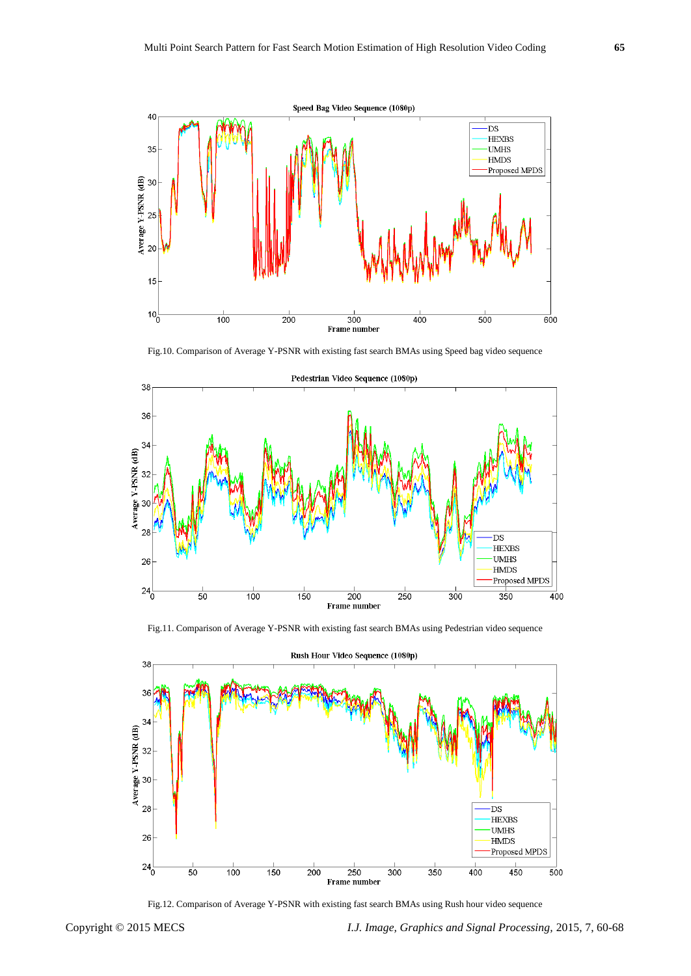

Fig.10. Comparison of Average Y-PSNR with existing fast search BMAs using Speed bag video sequence



Pedestrian Video Sequence (1080p)

Fig.11. Comparison of Average Y-PSNR with existing fast search BMAs using Pedestrian video sequence



Fig.12. Comparison of Average Y-PSNR with existing fast search BMAs using Rush hour video sequence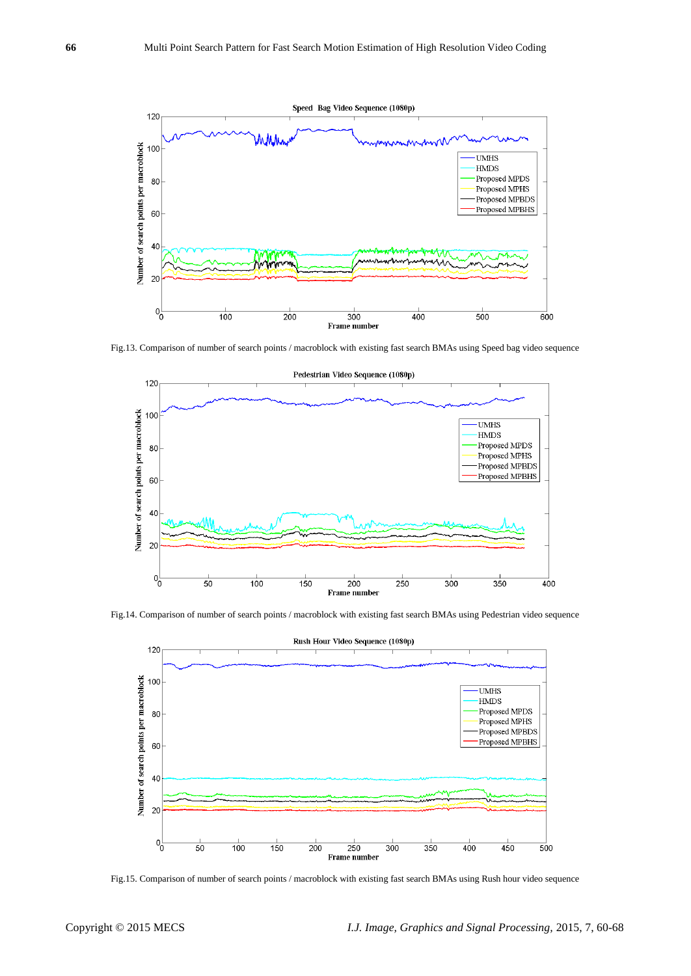

Fig.13. Comparison of number of search points / macroblock with existing fast search BMAs using Speed bag video sequence



Fig.14. Comparison of number of search points / macroblock with existing fast search BMAs using Pedestrian video sequence



Fig.15. Comparison of number of search points / macroblock with existing fast search BMAs using Rush hour video sequence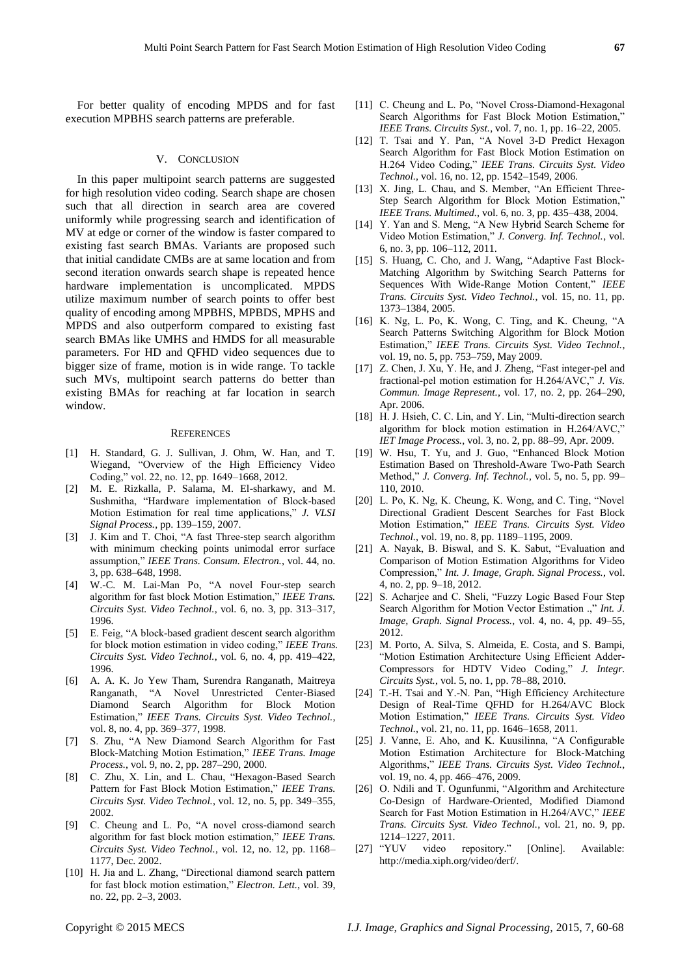For better quality of encoding MPDS and for fast execution MPBHS search patterns are preferable.

## V. CONCLUSION

In this paper multipoint search patterns are suggested for high resolution video coding. Search shape are chosen such that all direction in search area are covered uniformly while progressing search and identification of MV at edge or corner of the window is faster compared to existing fast search BMAs. Variants are proposed such that initial candidate CMBs are at same location and from second iteration onwards search shape is repeated hence hardware implementation is uncomplicated. MPDS utilize maximum number of search points to offer best quality of encoding among MPBHS, MPBDS, MPHS and MPDS and also outperform compared to existing fast search BMAs like UMHS and HMDS for all measurable parameters. For HD and QFHD video sequences due to bigger size of frame, motion is in wide range. To tackle such MVs, multipoint search patterns do better than existing BMAs for reaching at far location in search window.

#### **REFERENCES**

- [1] H. Standard, G. J. Sullivan, J. Ohm, W. Han, and T. Wiegand, "Overview of the High Efficiency Video Coding," vol. 22, no. 12, pp. 1649–1668, 2012.
- [2] M. E. Rizkalla, P. Salama, M. El-sharkawy, and M. Sushmitha, "Hardware implementation of Block-based Motion Estimation for real time applications," *J. VLSI Signal Process.*, pp. 139–159, 2007.
- [3] J. Kim and T. Choi, "A fast Three-step search algorithm with minimum checking points unimodal error surface assumption," IEEE Trans. Consum. Electron., vol. 44, no. 3, pp. 638–648, 1998.
- [4] W.-C. M. Lai-Man Po, "A novel Four-step search algorithm for fast block Motion Estimation," IEEE Trans. *Circuits Syst. Video Technol.*, vol. 6, no. 3, pp. 313–317, 1996.
- [5] E. Feig, "A block-based gradient descent search algorithm for block motion estimation in video coding," IEEE Trans. *Circuits Syst. Video Technol.*, vol. 6, no. 4, pp. 419–422, 1996.
- [6] A. A. K. Jo Yew Tham, Surendra Ranganath, Maitreya Ranganath, "A Novel Unrestricted Center-Biased Diamond Search Algorithm for Block Motion Estimation,‖ *IEEE Trans. Circuits Syst. Video Technol.*, vol. 8, no. 4, pp. 369–377, 1998.
- [7] S. Zhu, "A New Diamond Search Algorithm for Fast Block-Matching Motion Estimation," IEEE Trans. Image *Process.*, vol. 9, no. 2, pp. 287–290, 2000.
- [8] C. Zhu, X. Lin, and L. Chau, "Hexagon-Based Search Pattern for Fast Block Motion Estimation," *IEEE Trans. Circuits Syst. Video Technol.*, vol. 12, no. 5, pp. 349–355, 2002.
- [9] C. Cheung and L. Po, "A novel cross-diamond search algorithm for fast block motion estimation," IEEE Trans. *Circuits Syst. Video Technol.*, vol. 12, no. 12, pp. 1168– 1177, Dec. 2002.
- [10] H. Jia and L. Zhang, "Directional diamond search pattern for fast block motion estimation," *Electron. Lett.*, vol. 39, no. 22, pp. 2–3, 2003.
- [11] C. Cheung and L. Po, "Novel Cross-Diamond-Hexagonal Search Algorithms for Fast Block Motion Estimation," *IEEE Trans. Circuits Syst.*, vol. 7, no. 1, pp. 16–22, 2005.
- [12] T. Tsai and Y. Pan, "A Novel 3-D Predict Hexagon Search Algorithm for Fast Block Motion Estimation on H.264 Video Coding,‖ *IEEE Trans. Circuits Syst. Video Technol.*, vol. 16, no. 12, pp. 1542–1549, 2006.
- [13] X. Jing, L. Chau, and S. Member, "An Efficient Three-Step Search Algorithm for Block Motion Estimation,' *IEEE Trans. Multimed.*, vol. 6, no. 3, pp. 435–438, 2004.
- [14] Y. Yan and S. Meng, "A New Hybrid Search Scheme for Video Motion Estimation," *J. Converg. Inf. Technol.*, vol. 6, no. 3, pp. 106–112, 2011.
- [15] S. Huang, C. Cho, and J. Wang, "Adaptive Fast Block-Matching Algorithm by Switching Search Patterns for Sequences With Wide-Range Motion Content," IEEE *Trans. Circuits Syst. Video Technol.*, vol. 15, no. 11, pp. 1373–1384, 2005.
- $[16]$  K. Ng, L. Po, K. Wong, C. Ting, and K. Cheung, "A Search Patterns Switching Algorithm for Block Motion Estimation,‖ *IEEE Trans. Circuits Syst. Video Technol.*, vol. 19, no. 5, pp. 753–759, May 2009.
- [17] Z. Chen, J. Xu, Y. He, and J. Zheng, "Fast integer-pel and fractional-pel motion estimation for H.264/AVC," *J. Vis. Commun. Image Represent.*, vol. 17, no. 2, pp. 264–290, Apr. 2006.
- [18] H. J. Hsieh, C. C. Lin, and Y. Lin, "Multi-direction search" algorithm for block motion estimation in H.264/AVC," *IET Image Process.*, vol. 3, no. 2, pp. 88–99, Apr. 2009.
- [19] W. Hsu, T. Yu, and J. Guo, "Enhanced Block Motion Estimation Based on Threshold-Aware Two-Path Search Method," *J. Converg. Inf. Technol.*, vol. 5, no. 5, pp. 99– 110, 2010.
- $[20]$  L. Po, K. Ng, K. Cheung, K. Wong, and C. Ting, "Novel Directional Gradient Descent Searches for Fast Block Motion Estimation,‖ *IEEE Trans. Circuits Syst. Video Technol.*, vol. 19, no. 8, pp. 1189–1195, 2009.
- [21] A. Nayak, B. Biswal, and S. K. Sabut, "Evaluation and Comparison of Motion Estimation Algorithms for Video Compression," Int. J. Image, Graph. Signal Process., vol. 4, no. 2, pp. 9–18, 2012.
- [22] S. Acharjee and C. Sheli, "Fuzzy Logic Based Four Step Search Algorithm for Motion Vector Estimation .," *Int. J. Image, Graph. Signal Process.*, vol. 4, no. 4, pp. 49–55, 2012.
- [23] M. Porto, A. Silva, S. Almeida, E. Costa, and S. Bampi, "Motion Estimation Architecture Using Efficient Adder-Compressors for HDTV Video Coding," *J. Integr. Circuits Syst.*, vol. 5, no. 1, pp. 78–88, 2010.
- [24] T.-H. Tsai and Y.-N. Pan, "High Efficiency Architecture Design of Real-Time QFHD for H.264/AVC Block Motion Estimation,‖ *IEEE Trans. Circuits Syst. Video Technol.*, vol. 21, no. 11, pp. 1646–1658, 2011.
- [25] J. Vanne, E. Aho, and K. Kuusilinna, "A Configurable Motion Estimation Architecture for Block-Matching Algorithms,‖ *IEEE Trans. Circuits Syst. Video Technol.*, vol. 19, no. 4, pp. 466–476, 2009.
- [26] O. Ndili and T. Ogunfunmi, "Algorithm and Architecture Co-Design of Hardware-Oriented, Modified Diamond Search for Fast Motion Estimation in H.264/AVC," IEEE *Trans. Circuits Syst. Video Technol.*, vol. 21, no. 9, pp. 1214–1227, 2011.
- [27] "YUV video repository." [Online]. Available: http://media.xiph.org/video/derf/.